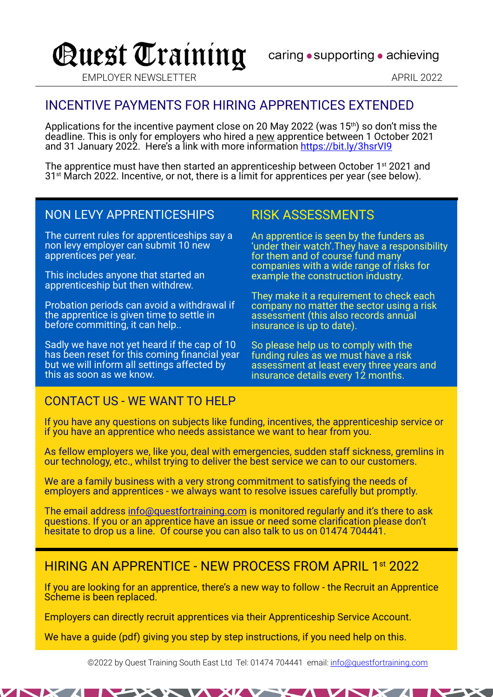# Quest Training

caring • supporting • achieving

EMPLOYER NEWSLETTER APRIL 2022

## INCENTIVE PAYMENTS FOR HIRING APPRENTICES EXTENDED

Applications for the incentive payment close on 20 May 2022 (was  $15<sup>th</sup>$ ) so don't miss the deadline. This is only for employers who hired a new apprentice between 1 October 2021 and 31 January 2022. Here's a link with more information https://bit.ly/3hsrVI9

The apprentice must have then started an apprenticeship between October 1<sup>st</sup> 2021 and 31st March 2022. Incentive, or not, there is a limit for apprentices per year (see below).

#### NON LEVY APPRENTICESHIPS

The current rules for apprenticeships say a non levy employer can submit 10 new apprentices per year.

This includes anyone that started an apprenticeship but then withdrew.

Probation periods can avoid a withdrawal if the apprentice is given time to settle in before committing, it can help..

Sadly we have not yet heard if the cap of 10 has been reset for this coming financial year but we will inform all settings affected by this as soon as we know.

#### RISK ASSESSMENTS

An apprentice is seen by the funders as 'under their watch'.They have a responsibility for them and of course fund many companies with a wide range of risks for example the construction industry.

They make it a requirement to check each company no matter the sector using a risk assessment (this also records annual insurance is up to date).

So please help us to comply with the funding rules as we must have a risk assessment at least every three years and insurance details every 12 months.

#### CONTACT US - WE WANT TO HELP

If you have any questions on subjects like funding, incentives, the apprenticeship service or if you have an apprentice who needs assistance we want to hear from you.

As fellow employers we, like you, deal with emergencies, sudden staff sickness, gremlins in our technology, etc., whilst trying to deliver the best service we can to our customers.

We are a family business with a very strong commitment to satisfying the needs of employers and apprentices - we always want to resolve issues carefully but promptly.

The email address info@questfortraining.com is monitored regularly and it's there to ask questions. If you or an apprentice have an issue or need some clarification please don't hesitate to drop us a line. Of course you can also talk to us on 01474 704441.

### HIRING AN APPRENTICE - NEW PROCESS FROM APRIL 1st 2022

If you are looking for an apprentice, there's a new way to follow - the Recruit an Apprentice Scheme is been replaced.

Employers can directly recruit apprentices via their Apprenticeship Service Account.

We have a guide (pdf) giving you step by step instructions, if you need help on this.

©2022 by Quest Training South East Ltd Tel: 01474 704441 email: info@questfortraining.com